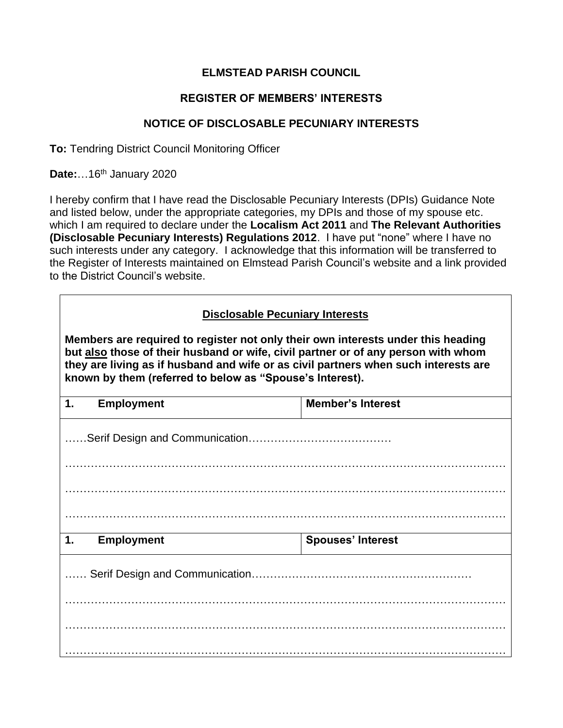## **ELMSTEAD PARISH COUNCIL**

## **REGISTER OF MEMBERS' INTERESTS**

## **NOTICE OF DISCLOSABLE PECUNIARY INTERESTS**

**To:** Tendring District Council Monitoring Officer

**Date:**…16th January 2020

I hereby confirm that I have read the Disclosable Pecuniary Interests (DPIs) Guidance Note and listed below, under the appropriate categories, my DPIs and those of my spouse etc. which I am required to declare under the **Localism Act 2011** and **The Relevant Authorities (Disclosable Pecuniary Interests) Regulations 2012**. I have put "none" where I have no such interests under any category. I acknowledge that this information will be transferred to the Register of Interests maintained on Elmstead Parish Council's website and a link provided to the District Council's website.

## **Disclosable Pecuniary Interests**

**Members are required to register not only their own interests under this heading but also those of their husband or wife, civil partner or of any person with whom they are living as if husband and wife or as civil partners when such interests are known by them (referred to below as "Spouse's Interest).**

| 1.            | <b>Employment</b> | <b>Member's Interest</b> |
|---------------|-------------------|--------------------------|
|               |                   |                          |
|               |                   |                          |
|               |                   |                          |
|               |                   |                          |
| $\mathbf 1$ . | <b>Employment</b> | <b>Spouses' Interest</b> |
|               |                   |                          |
|               |                   |                          |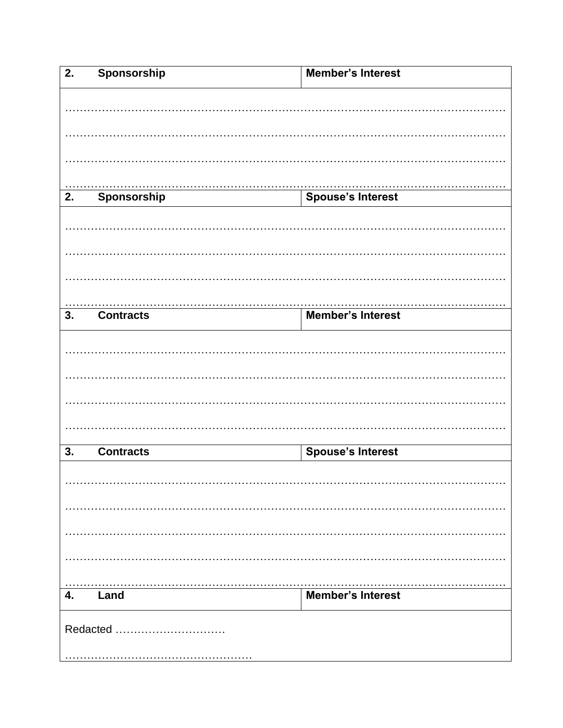| $\overline{2}$ . | Sponsorship      | <b>Member's Interest</b> |  |  |
|------------------|------------------|--------------------------|--|--|
|                  |                  |                          |  |  |
|                  |                  |                          |  |  |
|                  |                  |                          |  |  |
|                  |                  |                          |  |  |
|                  |                  |                          |  |  |
|                  |                  |                          |  |  |
| 2.               | Sponsorship      | <b>Spouse's Interest</b> |  |  |
|                  |                  |                          |  |  |
|                  |                  |                          |  |  |
|                  |                  |                          |  |  |
|                  |                  |                          |  |  |
|                  |                  |                          |  |  |
|                  |                  |                          |  |  |
| $\overline{3}$ . | <b>Contracts</b> | <b>Member's Interest</b> |  |  |
|                  |                  |                          |  |  |
|                  |                  |                          |  |  |
|                  |                  |                          |  |  |
|                  |                  |                          |  |  |
|                  |                  |                          |  |  |
|                  |                  |                          |  |  |
| 3.               | <b>Contracts</b> | <b>Spouse's Interest</b> |  |  |
|                  |                  |                          |  |  |
|                  |                  |                          |  |  |
|                  |                  |                          |  |  |
|                  |                  |                          |  |  |
|                  |                  |                          |  |  |
|                  |                  |                          |  |  |
|                  |                  |                          |  |  |
| 4.               | Land             | <b>Member's Interest</b> |  |  |
|                  |                  |                          |  |  |
| Redacted         |                  |                          |  |  |
|                  |                  |                          |  |  |
|                  |                  |                          |  |  |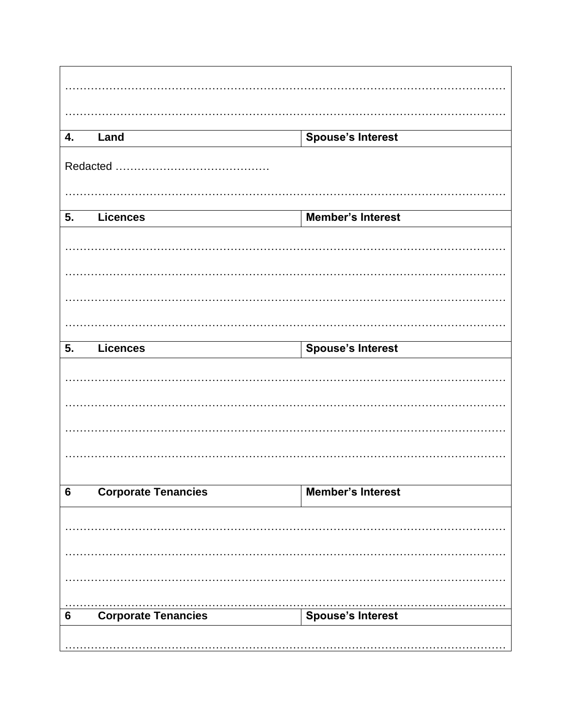| 4.             | Land                       | <b>Spouse's Interest</b> |  |  |
|----------------|----------------------------|--------------------------|--|--|
|                |                            |                          |  |  |
|                |                            |                          |  |  |
| 5.             | <b>Licences</b>            | <b>Member's Interest</b> |  |  |
|                |                            |                          |  |  |
|                |                            |                          |  |  |
|                |                            |                          |  |  |
|                |                            |                          |  |  |
| 5.             | <b>Licences</b>            | <b>Spouse's Interest</b> |  |  |
|                |                            |                          |  |  |
|                |                            |                          |  |  |
|                |                            |                          |  |  |
| $6\phantom{1}$ | <b>Corporate Tenancies</b> | <b>Member's Interest</b> |  |  |
|                |                            |                          |  |  |
|                |                            |                          |  |  |
|                |                            |                          |  |  |
| 6              | <b>Corporate Tenancies</b> | Spouse's Interest        |  |  |
|                |                            |                          |  |  |